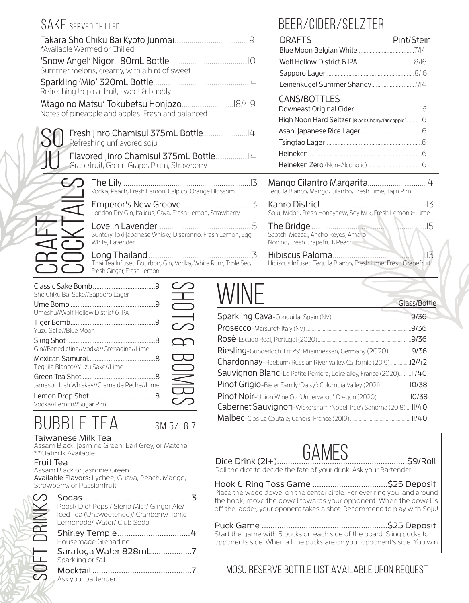|                   | *Available Warmed or Chilled                                                                                      | <b>DRAFTS</b><br>Blue Moon                           |
|-------------------|-------------------------------------------------------------------------------------------------------------------|------------------------------------------------------|
|                   | 'Snow Angel' Nigori I80mL Bottle<br>$\bigcap$                                                                     | Wolf Hollov                                          |
|                   | Summer melons, creamy, with a hint of sweet<br> 4<br>Refreshing tropical fruit, sweet & bubbly                    | Sapporo La<br>Leinenkuge                             |
|                   | Notes of pineapple and apples. Fresh and balanced                                                                 | CANS/BO<br>Downeast C<br>High Noon I                 |
|                   | Refreshing unflavored soju                                                                                        | Asahi Japan<br>Tsingtao La                           |
|                   | Grapefruit, Green Grape, Plum, Strawberry                                                                         | Heineken<br>Heineken Z                               |
|                   | Vodka, Peach, Fresh Lemon, Calpico, Orange Blossom                                                                | Mango Cilar<br>Tequila Blanco, M                     |
|                   | London Dry Gin, Italicus, Cava, Fresh Lemon, Strawberry                                                           | Kanro Distrio<br>Soju, Midori, Fresh                 |
|                   | Suntory Toki Japanese Whisky, Disaronno, Fresh Lemon, Egg<br>White, Lavender                                      | The Bridge<br>Scotch, Mezcal, A<br>Nonino, Fresh Gra |
|                   | 13<br>Long Thailand.<br>Thai Tea Infused Bourbon, Gin, Vodka, White Rum, Triple Sec,<br>Fresh Ginger, Fresh Lemon | Hibiscus Pal<br>Hibiscus Infused                     |
| Therir Calve Domb | , <i>, ,</i> , ,<br>$\cap$                                                                                        |                                                      |

### SAKE SERVED CHILLED **BEER/CIDER/SELZTER**

| DLLN/ UIDLN/ JLLZ I LN                                                                     |               |
|--------------------------------------------------------------------------------------------|---------------|
| <b>DRAFTS</b>                                                                              | Pint/Stein    |
|                                                                                            |               |
|                                                                                            |               |
|                                                                                            |               |
|                                                                                            |               |
| <b>CANS/BOTTLES</b>                                                                        |               |
|                                                                                            |               |
| High Noon Hard Seltzer [Black Cherry/Pineapple] 6                                          |               |
|                                                                                            |               |
|                                                                                            |               |
|                                                                                            |               |
|                                                                                            |               |
| Tequila Blanco, Mango, Cilantro, Fresh Lime, Tajin Rim                                     |               |
| Soju, Midori, Fresh Honeydew, Soy Milk, Fresh Lemon & Lime                                 |               |
| <b>The Drivye</b><br>Scotch, Mezcal, Ancho Reyes, Amaro<br>Nonino, Fresh Grapefruit, Peach |               |
| Hibiscus Infused Teguila Blanco, Fresh Lime, Fresh Grapefruit                              | $\frac{1}{5}$ |

| Sho Chiku Bai Sake//Sapporo Lager           |  |
|---------------------------------------------|--|
| Umeshu//Wolf Hollow District 6 IPA          |  |
| Yuzu Sake//Blue Moon                        |  |
| Gin//Benedictine//Vodka//Grenadine//Lime    |  |
| Teguila Blanco//Yuzu Sake//Lime             |  |
| Jameson Irish Whiskey//Creme de Peche//Lime |  |
| Vodka//Lemon//Sugar Rim                     |  |
| 11 L JL V<br>.                              |  |

| Sho Chiku Bai Sake//Sapporo Lager           | Ξ                                    |                                                                      | Glass/Bottle |
|---------------------------------------------|--------------------------------------|----------------------------------------------------------------------|--------------|
| Umeshu//Wolf Hollow District 6 IPA          | $\longrightarrow$                    |                                                                      | .9/36        |
| Yuzu Sake//Blue Moon                        |                                      |                                                                      |              |
|                                             |                                      |                                                                      |              |
| Gin//Benedictine//Vodka//Grenadine//Lime    |                                      | Riesling-Gunderloch 'Fritz's'; Rheinhessen, Germany (2020)9/36       |              |
| Tequila Blanco//Yuzu Sake//Lime             | $\overline{\mathbf{C}}$<br>$\bigcup$ | Chardonnay-Raeburn; Russian River Valley, California (2019)12/42     |              |
|                                             |                                      | Sauvignon Blanc-La Petite Perriere; Loire alley, France (2020) 11/40 |              |
| Jameson Irish Whiskey//Creme de Peche//Lime | S                                    | Pinot Grigio-Bieler Family 'Daisy'; Columbia Valley (2021)10/38      |              |
|                                             | $\bigcirc$                           |                                                                      |              |
| Vodka//Lemon//Sugar Rim                     |                                      | Cabernet Sauvignon-Wickersham 'Nobel Tree'; Sanoma (2018) II/40      |              |
| <b>BUBBLE</b>                               | SM5/167                              |                                                                      |              |

## **GAMES**

Dice Drink (21+)...........................................................\$9/Roll Roll the dice to decide the fate of your drink. Ask your Bartender!

#### Hook & Ring Toss Game ..................................\$25 Deposit Place the wood dowel on the center circle. For ever ring you land around the hook, move the dowel towards your opponent. When the dowel is off the ladder, your oponent takes a shot. Recommend to play with Soju!

Puck Game .........................................................\$25 Deposit Start the game with 5 pucks on each side of the board. Sling pucks to opponents side. When all the pucks are on your opponent's side. You win.

MOSU Reserve Bottle List available upon request

| Umeshu//Wolf Hollow District 6 IPA          |           |
|---------------------------------------------|-----------|
| Yuzu Sake//Blue Moon                        |           |
| Gin//Benedictine//Vodka//Grenadine//Lime    |           |
| Teguila Blanco//Yuzu Sake//Lime             |           |
| Jameson Irish Whiskey//Creme de Peche//Lime | $\leq$    |
| Vodka//Lemon//Sugar Rim                     |           |
| <b>BUBBLE TEA</b>                           | SM 5/LG 7 |
|                                             |           |

### Taiwanese Milk Tea

Assam Black, Jasmine Green, Earl Grey, or Matcha \*\*Oatmilk Available

### Fruit Tea

Assam Black or Jasmine Green Available Flavors: Lychee, Guava, Peach, Mango, Strawberry, or Passionfruit

| Pepsi/ Diet Pepsi/ Sierra Mist/ Ginger Ale/<br>Iced Tea (Unsweetened)/ Cranberry/ Tonic<br>Lemonade/ Water/ Club Soda |  |
|-----------------------------------------------------------------------------------------------------------------------|--|
| Housemade Grenadine                                                                                                   |  |
| Saratoga Water 828mL7<br>Sparkling or Still                                                                           |  |
| Mocktail<br>Ask your bartender                                                                                        |  |
|                                                                                                                       |  |